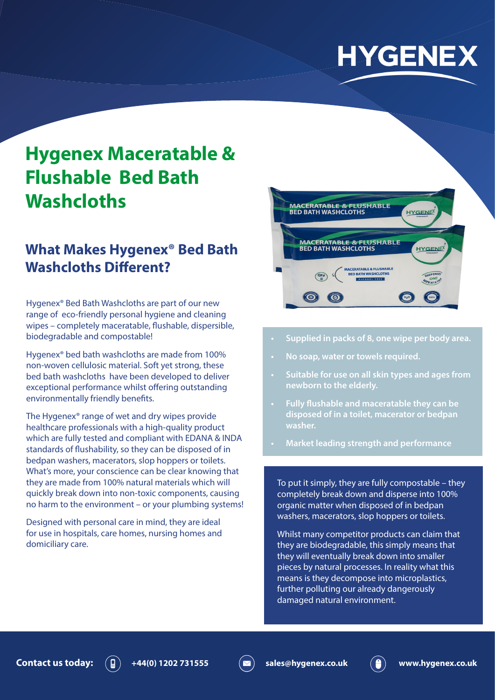# **HYGENEX**

# **Hygenex Maceratable & Flushable Bed Bath Washcloths**

# **What Makes Hygenex® Bed Bath Washcloths Different?**

Hygenex® Bed Bath Washcloths are part of our new range of eco-friendly personal hygiene and cleaning wipes – completely maceratable, flushable, dispersible, biodegradable and compostable!

Hygenex® bed bath washcloths are made from 100% non-woven cellulosic material. Soft yet strong, these bed bath washcloths have been developed to deliver exceptional performance whilst offering outstanding environmentally friendly benefits.

The Hygenex® range of wet and dry wipes provide healthcare professionals with a high-quality product which are fully tested and compliant with EDANA & INDA standards of flushability, so they can be disposed of in bedpan washers, macerators, slop hoppers or toilets. What's more, your conscience can be clear knowing that they are made from 100% natural materials which will quickly break down into non-toxic components, causing no harm to the environment – or your plumbing systems!

Designed with personal care in mind, they are ideal for use in hospitals, care homes, nursing homes and domiciliary care.



- **• Supplied in packs of 8, one wipe per body area.**
- **• No soap, water or towels required.**
- **• Suitable for use on all skin types and ages from newborn to the elderly.**
- **• Fully flushable and maceratable they can be disposed of in a toilet, macerator or bedpan washer.**
- **• Market leading strength and performance**

To put it simply, they are fully compostable – they completely break down and disperse into 100% organic matter when disposed of in bedpan washers, macerators, slop hoppers or toilets.

Whilst many competitor products can claim that they are biodegradable, this simply means that they will eventually break down into smaller pieces by natural processes. In reality what this means is they decompose into microplastics, further polluting our already dangerously damaged natural environment.